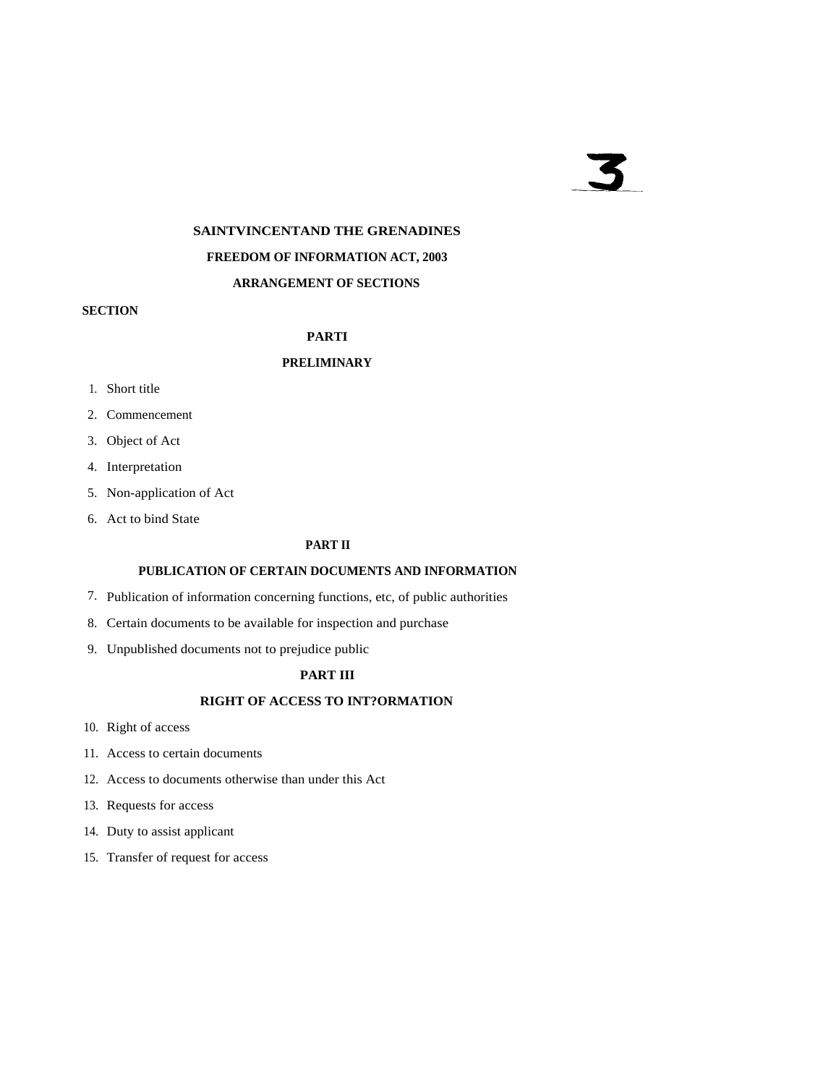# $\overline{\mathbf{5}}$

# **SAINTVINCENTAND THE GRENADINES FREEDOM OF INFORMATION ACT, 2003 ARRANGEMENT OF SECTIONS**

#### **SECTION**

#### **PARTI**

## **PRELIMINARY**

- 1. Short title
- 2. Commencement
- 3. Object of Act
- 4. Interpretation
- 5. Non-application of Act
- 6. Act to bind State

### **PART II**

#### **PUBLICATION OF CERTAIN DOCUMENTS AND INFORMATION**

- 7. Publication of information concerning functions, etc, of public authorities
- 8. Certain documents to be available for inspection and purchase
- 9. Unpublished documents not to prejudice public

### **PART III**

# **RIGHT OF ACCESS TO INT?ORMATION**

- 10. Right of access
- 11. Access to certain documents
- 12. Access to documents otherwise than under this Act
- 13. Requests for access
- 14. Duty to assist applicant
- 15. Transfer of request for access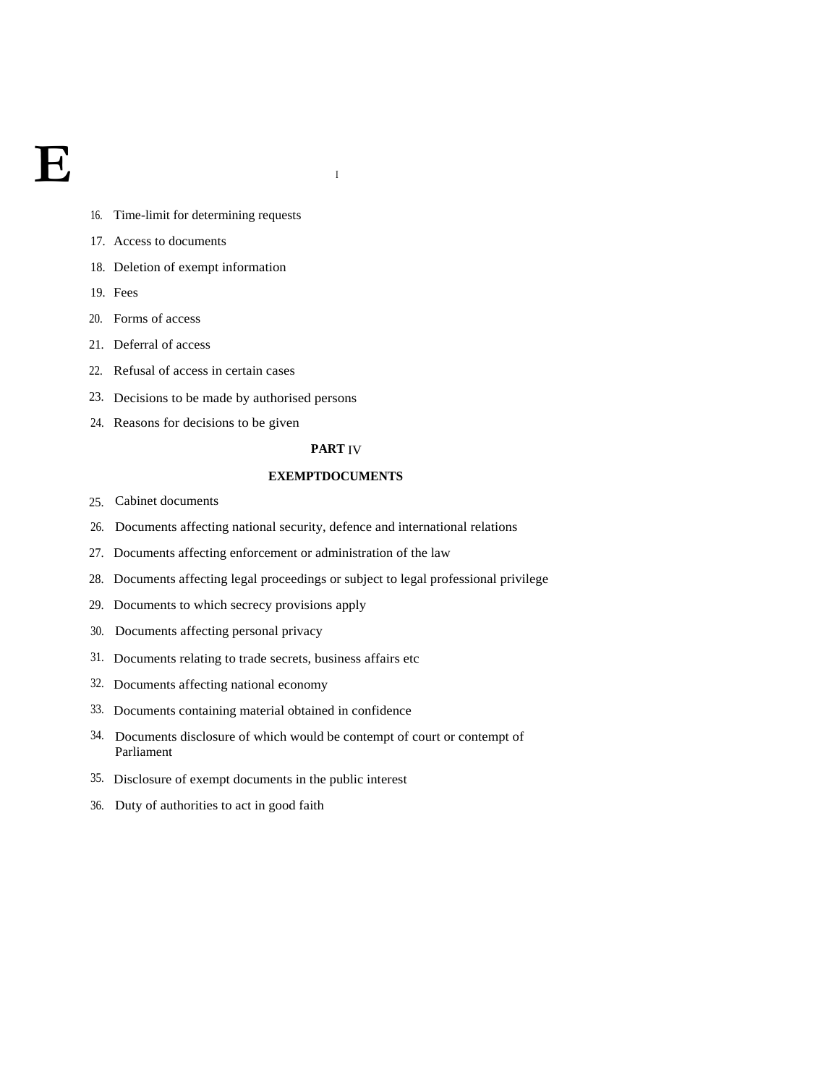# **E**

- 16. Time-limit for determining requests
- 17. Access to documents
- 18. Deletion of exempt information
- 19. Fees
- 20. Forms of access
- 21. Deferral of access
- 22. Refusal of access in certain cases
- 23. Decisions to be made by authorised persons
- 24. Reasons for decisions to be given

#### **PART** IV

#### **EXEMPTDOCUMENTS**

- 25. Cabinet documents
- 26. Documents affecting national security, defence and international relations
- 27. Documents affecting enforcement or administration of the law
- 28. Documents affecting legal proceedings or subject to legal professional privilege
- 29. Documents to which secrecy provisions apply
- 30. Documents affecting personal privacy
- 31. Documents relating to trade secrets, business affairs etc
- 32. Documents affecting national economy
- 33. Documents containing material obtained in confidence
- 34. Documents disclosure of which would be contempt of court or contempt of Parliament
- 35. Disclosure of exempt documents in the public interest
- 36. Duty of authorities to act in good faith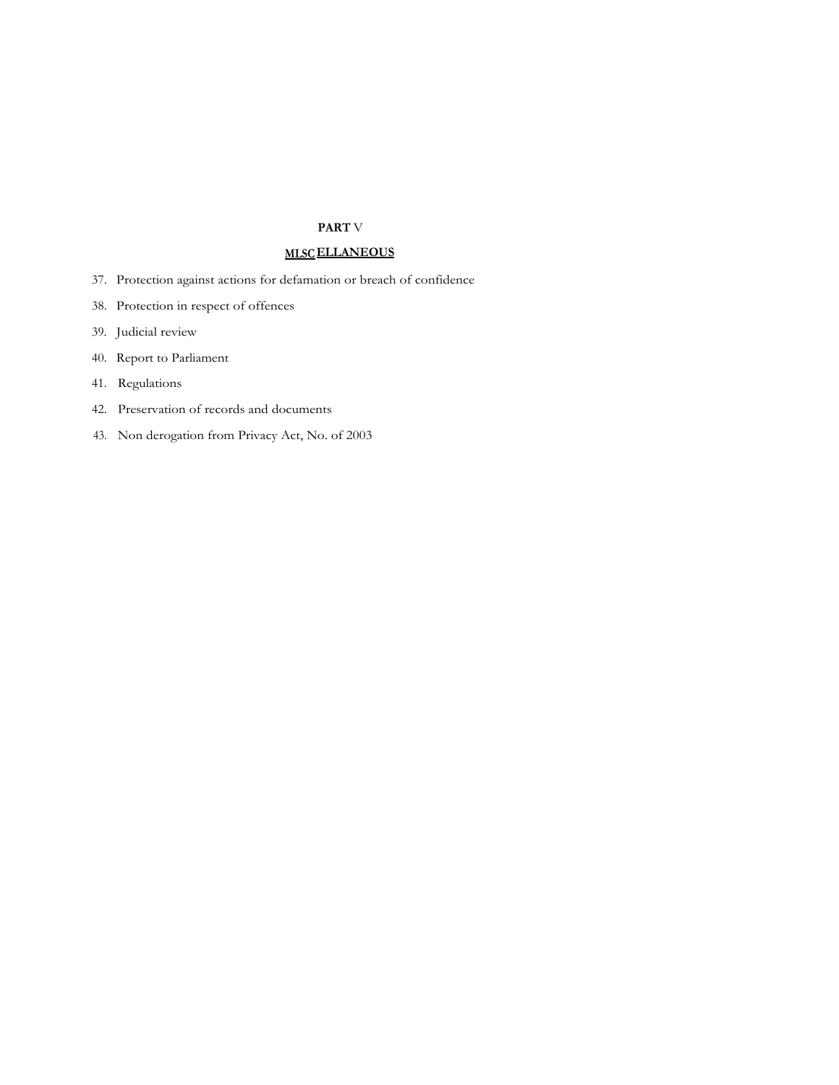#### **PART** V

# **MLSCELLANEOUS**

- 37. Protection against actions for defamation or breach of confidence
- 38. Protection in respect of offences
- 39. Judicial review
- 40. Report to Parliament
- 41. Regulations
- 42. Preservation of records and documents
- 43. Non derogation from Privacy Act, No. of 2003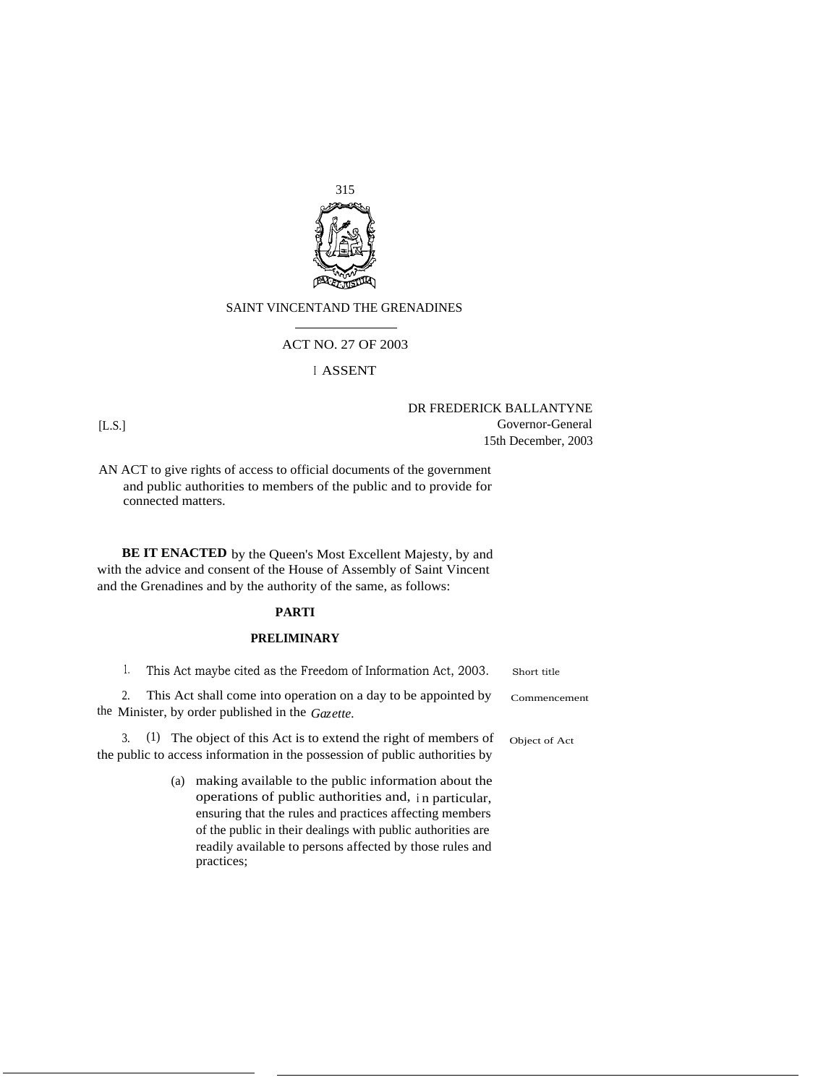

#### SAINT VINCENTAND THE GRENADINES

#### ACT NO. 27 OF 2003

#### <sup>I</sup> ASSENT

DR FREDERICK BALLANTYNE [L.S.] Governor-General 15th December, 2003

AN ACT to give rights of access to official documents of the government and public authorities to members of the public and to provide for connected matters.

BE IT ENACTED by the Queen's Most Excellent Majesty, by and with the advice and consent of the House of Assembly of Saint Vincent and the Grenadines and by the authority of the same, as follows:

#### **PARTI**

#### **PRELIMINARY**

| This Act maybe cited as the Freedom of Information Act, 2003.  | Short title  |
|----------------------------------------------------------------|--------------|
| This Act shall come into operation on a day to be appointed by | Commencement |

the Minister, by order published in the *Gazette.*

3. (1) The object of this Act is to extend the right of members of Object of Act the public to access information in the possession of public authorities by

> (a) making available to the public information about the operations of public authorities and, <sup>i</sup> n particular, ensuring that the rules and practices affecting members of the public in their dealings with public authorities are readily available to persons affected by those rules and practices;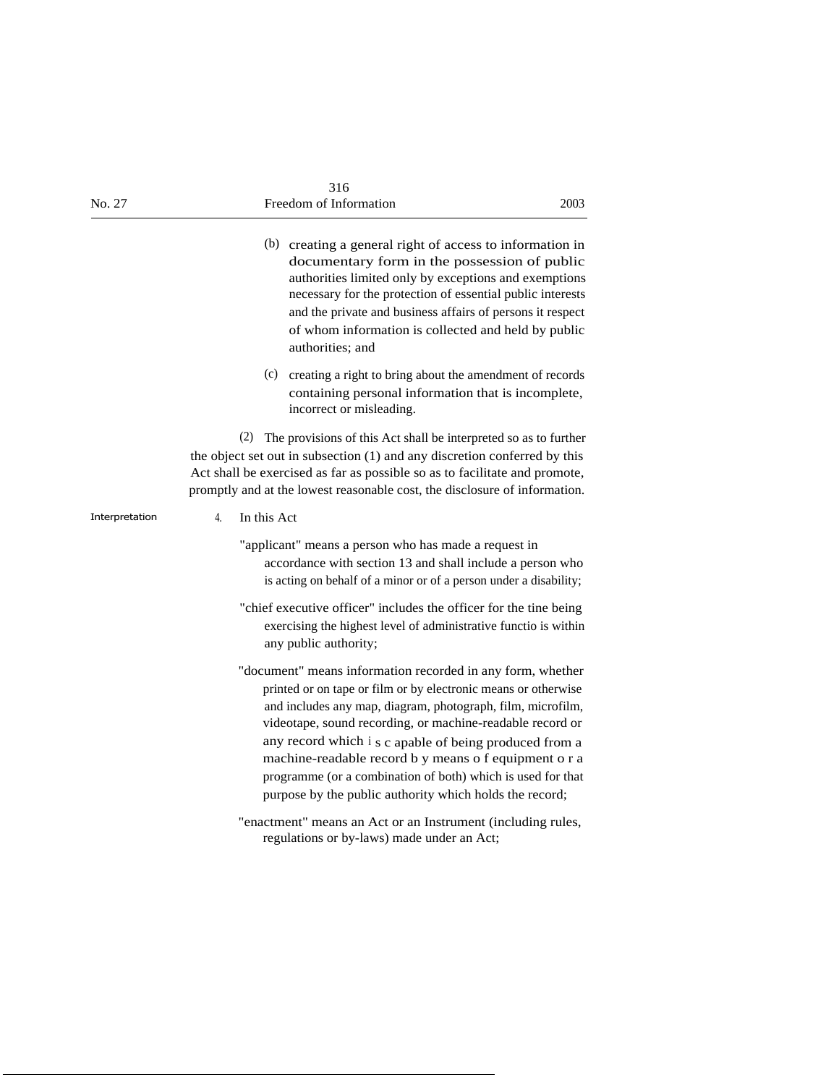| No. 27         | 316<br>Freedom of Information                                                                                                                                                                                                                                                                                                                                                                                                                                                                         | 2003 |
|----------------|-------------------------------------------------------------------------------------------------------------------------------------------------------------------------------------------------------------------------------------------------------------------------------------------------------------------------------------------------------------------------------------------------------------------------------------------------------------------------------------------------------|------|
|                | (b) creating a general right of access to information in<br>documentary form in the possession of public<br>authorities limited only by exceptions and exemptions<br>necessary for the protection of essential public interests<br>and the private and business affairs of persons it respect<br>of whom information is collected and held by public<br>authorities; and                                                                                                                              |      |
|                | (c) creating a right to bring about the amendment of records<br>containing personal information that is incomplete,<br>incorrect or misleading.                                                                                                                                                                                                                                                                                                                                                       |      |
|                | (2)<br>The provisions of this Act shall be interpreted so as to further<br>the object set out in subsection (1) and any discretion conferred by this<br>Act shall be exercised as far as possible so as to facilitate and promote,<br>promptly and at the lowest reasonable cost, the disclosure of information.                                                                                                                                                                                      |      |
| Interpretation | 4.<br>In this Act                                                                                                                                                                                                                                                                                                                                                                                                                                                                                     |      |
|                | "applicant" means a person who has made a request in<br>accordance with section 13 and shall include a person who<br>is acting on behalf of a minor or of a person under a disability;                                                                                                                                                                                                                                                                                                                |      |
|                | "chief executive officer" includes the officer for the tine being<br>exercising the highest level of administrative functio is within<br>any public authority;                                                                                                                                                                                                                                                                                                                                        |      |
|                | "document" means information recorded in any form, whether<br>printed or on tape or film or by electronic means or otherwise<br>and includes any map, diagram, photograph, film, microfilm,<br>videotape, sound recording, or machine-readable record or<br>any record which i s c apable of being produced from a<br>machine-readable record b y means o f equipment o r a<br>programme (or a combination of both) which is used for that<br>purpose by the public authority which holds the record; |      |
|                | "enactment" means an Act or an Instrument (including rules,<br>regulations or by-laws) made under an Act;                                                                                                                                                                                                                                                                                                                                                                                             |      |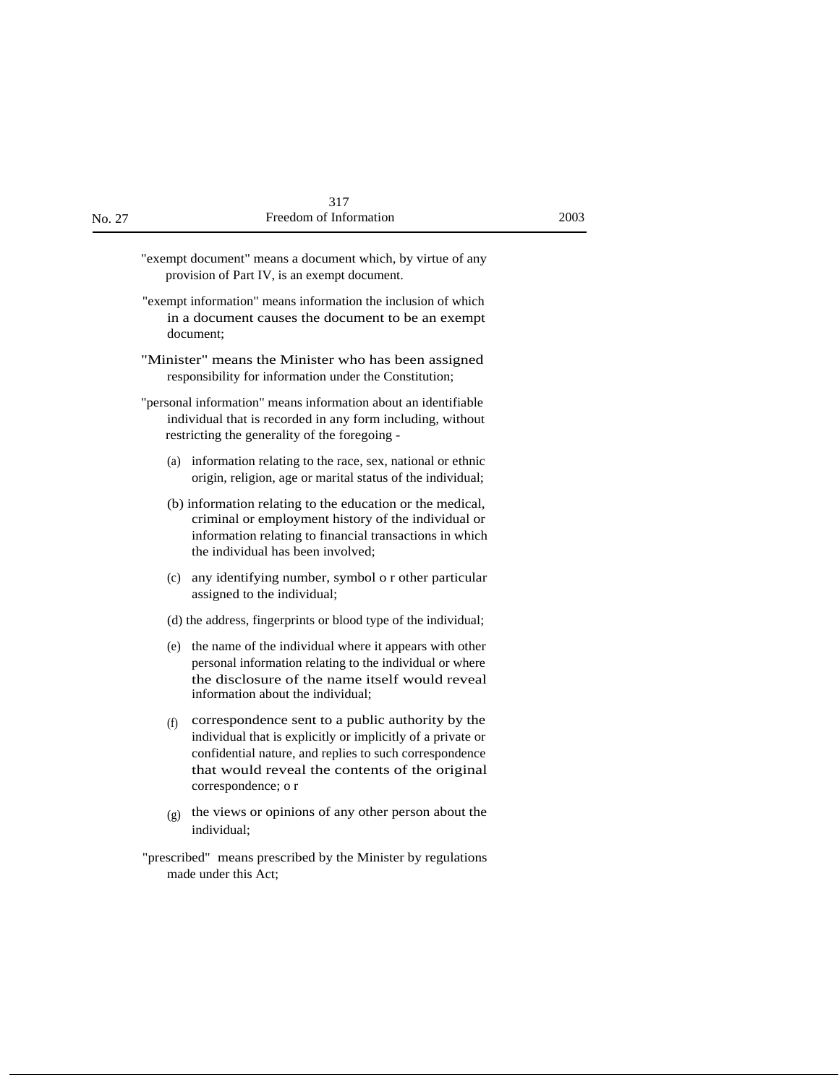| 317                   |
|-----------------------|
| reedom of Information |

| No. 27 | Freedom of Information                                                                                                                                                                                                                                     | 2003 |
|--------|------------------------------------------------------------------------------------------------------------------------------------------------------------------------------------------------------------------------------------------------------------|------|
|        | "exempt document" means a document which, by virtue of any<br>provision of Part IV, is an exempt document.                                                                                                                                                 |      |
|        | "exempt information" means information the inclusion of which<br>in a document causes the document to be an exempt<br>document:                                                                                                                            |      |
|        | "Minister" means the Minister who has been assigned<br>responsibility for information under the Constitution;                                                                                                                                              |      |
|        | "personal information" means information about an identifiable<br>individual that is recorded in any form including, without<br>restricting the generality of the foregoing -                                                                              |      |
|        | (a) information relating to the race, sex, national or ethnic<br>origin, religion, age or marital status of the individual;                                                                                                                                |      |
|        | (b) information relating to the education or the medical,<br>criminal or employment history of the individual or<br>information relating to financial transactions in which<br>the individual has been involved;                                           |      |
|        | any identifying number, symbol o r other particular<br>(c)<br>assigned to the individual;                                                                                                                                                                  |      |
|        | (d) the address, fingerprints or blood type of the individual;                                                                                                                                                                                             |      |
|        | (e) the name of the individual where it appears with other<br>personal information relating to the individual or where<br>the disclosure of the name itself would reveal<br>information about the individual;                                              |      |
|        | correspondence sent to a public authority by the<br>(f)<br>individual that is explicitly or implicitly of a private or<br>confidential nature, and replies to such correspondence<br>that would reveal the contents of the original<br>correspondence; o r |      |
|        | the views or opinions of any other person about the<br>(g)<br>individual;                                                                                                                                                                                  |      |

"prescribed" means prescribed by the Minister by regulations made under this Act;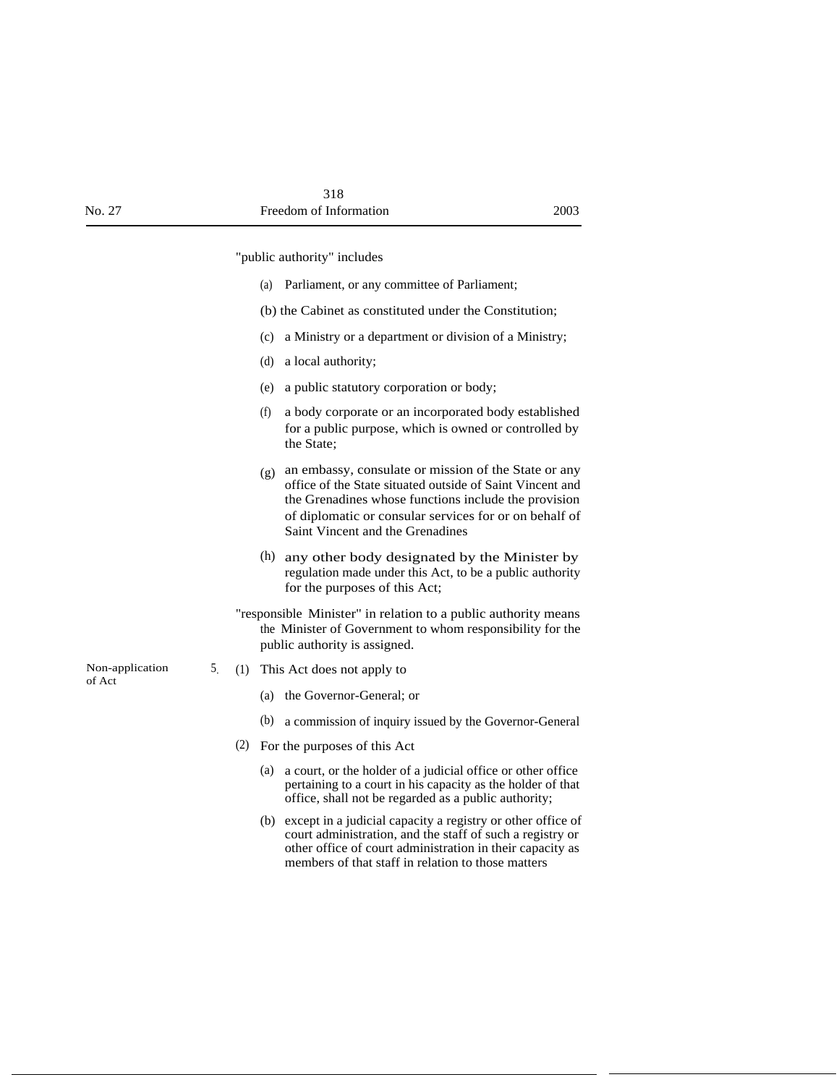"public authority" includes

- (a) Parliament, or any committee of Parliament;
- (b) the Cabinet as constituted under the Constitution;
- (c) a Ministry or a department or division of a Ministry;
- (d) a local authority;
- (e) a public statutory corporation or body;
- (f) a body corporate or an incorporated body established for a public purpose, which is owned or controlled by the State;
- (g) an embassy, consulate or mission of the State or any office of the State situated outside of Saint Vincent and the Grenadines whose functions include the provision of diplomatic or consular services for or on behalf of Saint Vincent and the Grenadines
- (h) any other body designated by the Minister by regulation made under this Act, to be a public authority for the purposes of this Act;
- "responsible Minister" in relation to a public authority means the Minister of Government to whom responsibility for the public authority is assigned.
- (1) This Act does not apply to
	- (a) the Governor-General; or
	- (b) a commission of inquiry issued by the Governor-General
- (2) For the purposes of this Act
	- (a) a court, or the holder of a judicial office or other office pertaining to a court in his capacity as the holder of that office, shall not be regarded as a public authority;
	- (b) except in a judicial capacity a registry or other office of court administration, and the staff of such a registry or other office of court administration in their capacity as members of that staff in relation to those matters

Non-application 5 of Act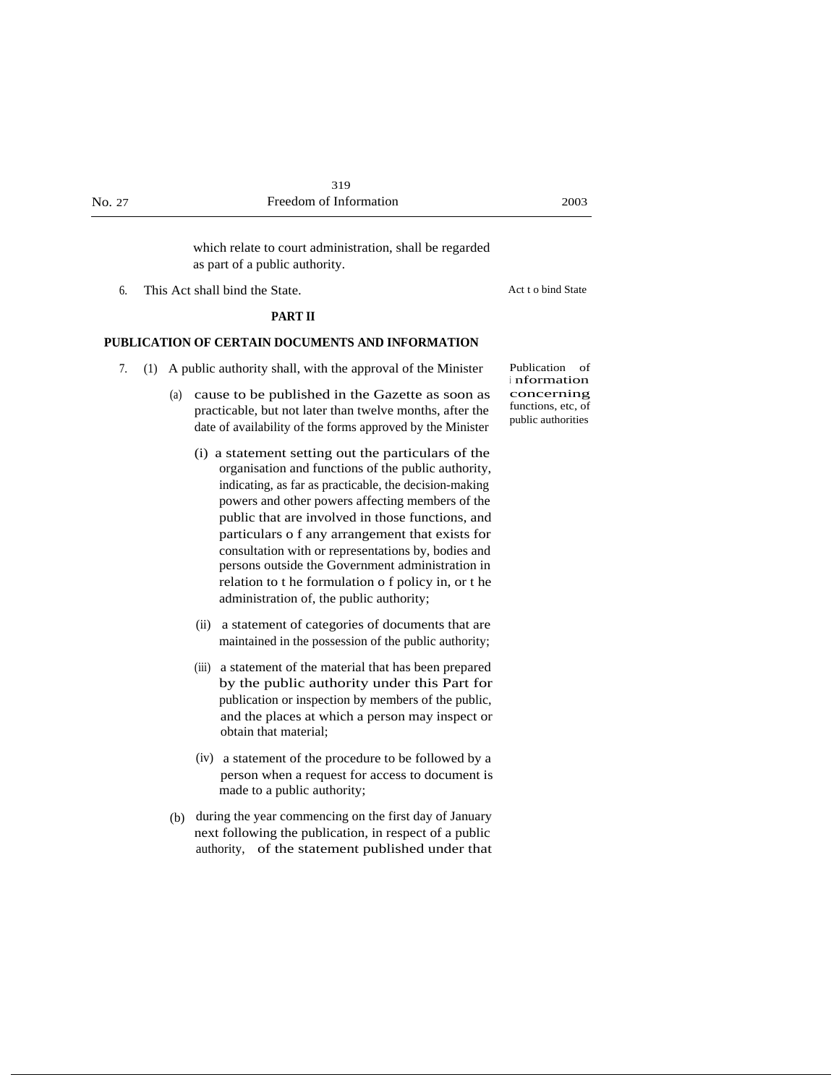which relate to court administration, shall be regarded as part of a public authority.

6. This Act shall bind the State. Act t o bind State

#### **PART II**

#### **PUBLICATION OF CERTAIN DOCUMENTS AND INFORMATION**

- 7. (1) A public authority shall, with the approval of the Minister
	- (a) cause to be published in the Gazette as soon as practicable, but not later than twelve months, after the date of availability of the forms approved by the Minister
		- (i) a statement setting out the particulars of the organisation and functions of the public authority, indicating, as far as practicable, the decision-making powers and other powers affecting members of the public that are involved in those functions, and particulars o f any arrangement that exists for consultation with or representations by, bodies and persons outside the Government administration in relation to t he formulation o f policy in, or t he administration of, the public authority;
		- (ii) a statement of categories of documents that are maintained in the possession of the public authority;
		- (iii) a statement of the material that has been prepared by the public authority under this Part for publication or inspection by members of the public, and the places at which a person may inspect or obtain that material;
		- (iv) a statement of the procedure to be followed by a person when a request for access to document is made to a public authority;
	- (b) during the year commencing on the first day of January next following the publication, in respect of a public authority, of the statement published under that

Publication of <sup>i</sup> nformation concerning functions, etc, of public authorities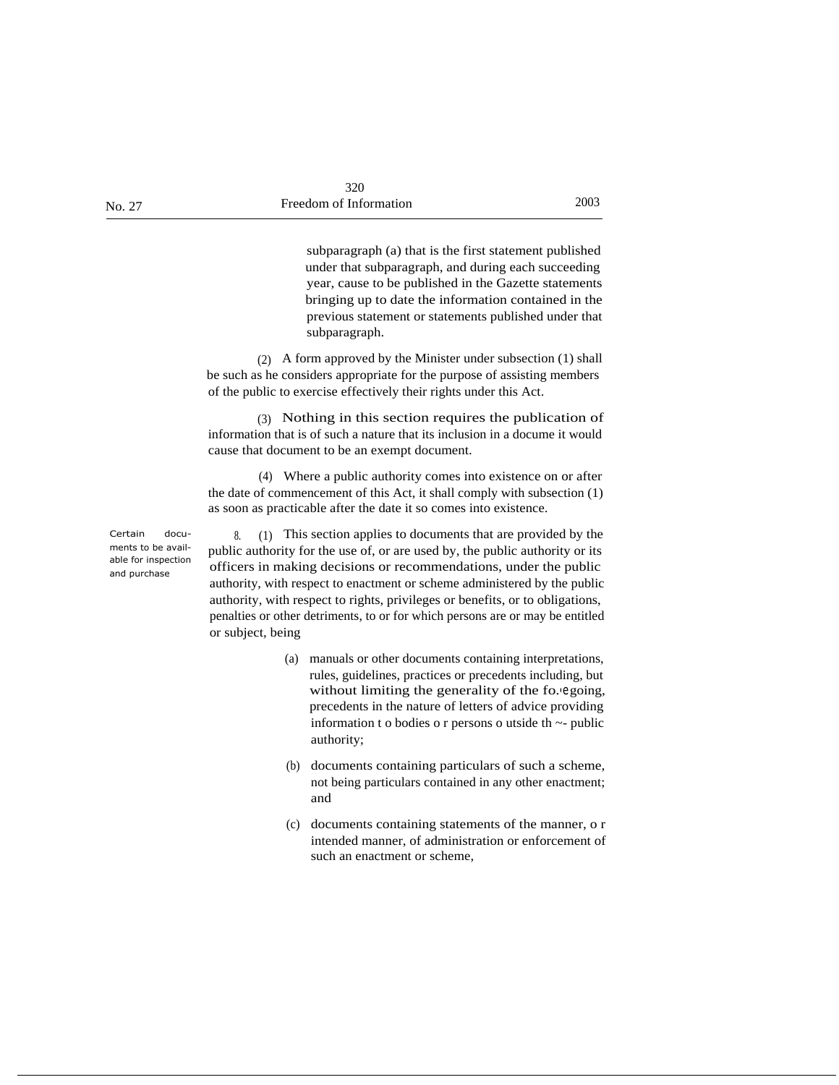subparagraph (a) that is the first statement published under that subparagraph, and during each succeeding year, cause to be published in the Gazette statements bringing up to date the information contained in the previous statement or statements published under that subparagraph.

(2) A form approved by the Minister under subsection (1) shall be such as he considers appropriate for the purpose of assisting members of the public to exercise effectively their rights under this Act.

(3) Nothing in this section requires the publication of information that is of such a nature that its inclusion in a docume it would cause that document to be an exempt document.

(4) Where a public authority comes into existence on or after the date of commencement of this Act, it shall comply with subsection (1) as soon as practicable after the date it so comes into existence.

8. (1) This section applies to documents that are provided by the public authority for the use of, or are used by, the public authority or its officers in making decisions or recommendations, under the public authority, with respect to enactment or scheme administered by the public authority, with respect to rights, privileges or benefits, or to obligations, penalties or other detriments, to or for which persons are or may be entitled or subject, being

- (a) manuals or other documents containing interpretations, rules, guidelines, practices or precedents including, but without limiting the generality of the fo. egoing, precedents in the nature of letters of advice providing information t o bodies o r persons o utside th ~- public authority;
- (b) documents containing particulars of such a scheme, not being particulars contained in any other enactment; and
- (c) documents containing statements of the manner, o r intended manner, of administration or enforcement of such an enactment or scheme,

Certain documents to be available for inspection and purchase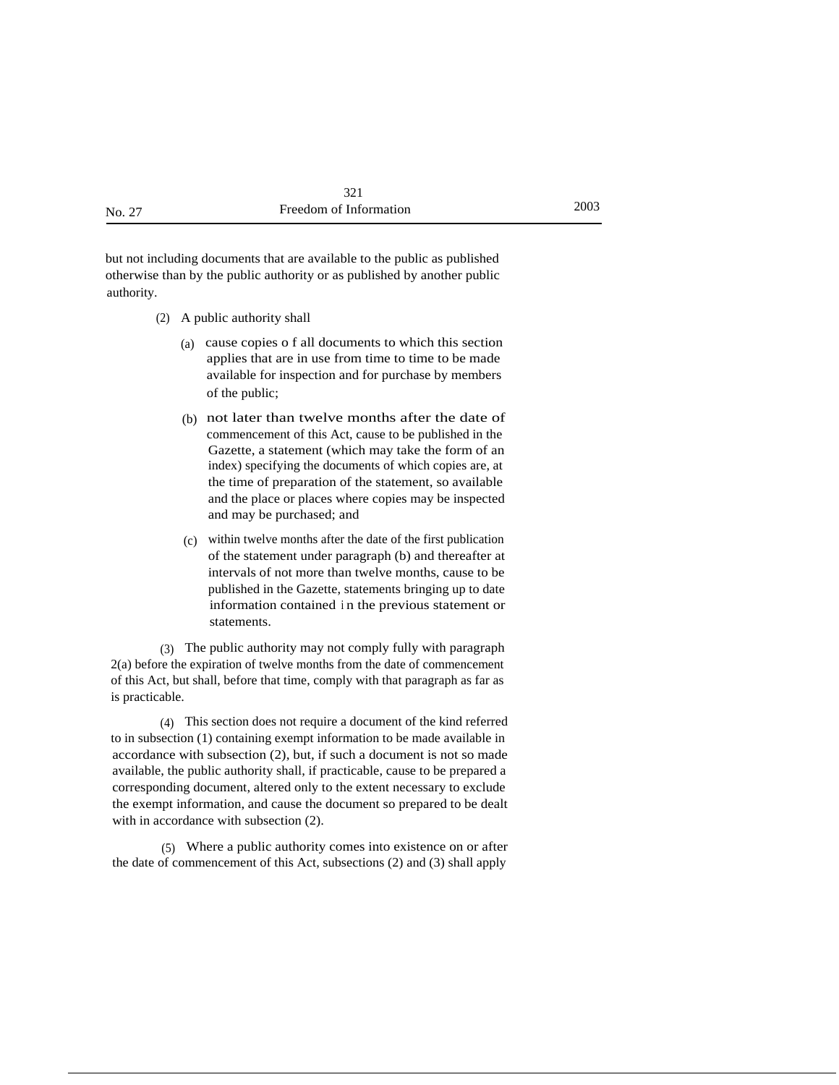but not including documents that are available to the public as published otherwise than by the public authority or as published by another public authority.

- (2) A public authority shall
	- (a) cause copies o f all documents to which this section applies that are in use from time to time to be made available for inspection and for purchase by members of the public;
	- (b) not later than twelve months after the date of commencement of this Act, cause to be published in the Gazette, a statement (which may take the form of an index) specifying the documents of which copies are, at the time of preparation of the statement, so available and the place or places where copies may be inspected and may be purchased; and
	- (c) within twelve months after the date of the first publication of the statement under paragraph (b) and thereafter at intervals of not more than twelve months, cause to be published in the Gazette, statements bringing up to date information contained <sup>i</sup> n the previous statement or statements.

(3) The public authority may not comply fully with paragraph 2(a) before the expiration of twelve months from the date of commencement of this Act, but shall, before that time, comply with that paragraph as far as is practicable.

(4) This section does not require a document of the kind referred to in subsection (1) containing exempt information to be made available in accordance with subsection (2), but, if such a document is not so made available, the public authority shall, if practicable, cause to be prepared a corresponding document, altered only to the extent necessary to exclude the exempt information, and cause the document so prepared to be dealt with in accordance with subsection (2).

(5) Where a public authority comes into existence on or after the date of commencement of this Act, subsections (2) and (3) shall apply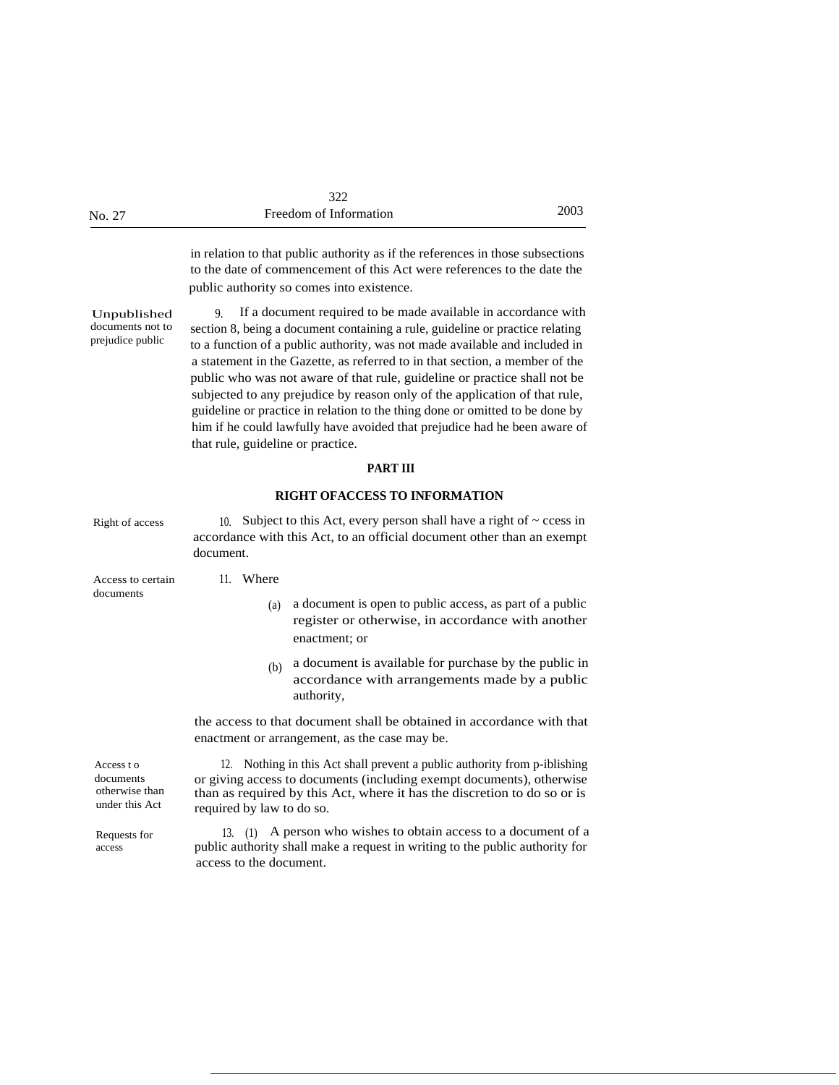|        | 322                    |      |
|--------|------------------------|------|
| No. 27 | Freedom of Information | 2003 |

in relation to that public authority as if the references in those subsections to the date of commencement of this Act were references to the date the public authority so comes into existence.

Unpublished documents not to prejudice public

9. If a document required to be made available in accordance with section 8, being a document containing a rule, guideline or practice relating to a function of a public authority, was not made available and included in a statement in the Gazette, as referred to in that section, a member of the public who was not aware of that rule, guideline or practice shall not be subjected to any prejudice by reason only of the application of that rule, guideline or practice in relation to the thing done or omitted to be done by him if he could lawfully have avoided that prejudice had he been aware of that rule, guideline or practice.

#### **PART III**

#### **RIGHT OFACCESS TO INFORMATION**

| Right of access                                            | Subject to this Act, every person shall have a right of $\sim$ ccess in<br>10 <sup>1</sup><br>accordance with this Act, to an official document other than an exempt<br>document.                                                                           |  |
|------------------------------------------------------------|-------------------------------------------------------------------------------------------------------------------------------------------------------------------------------------------------------------------------------------------------------------|--|
| Access to certain                                          | 11. Where                                                                                                                                                                                                                                                   |  |
| documents                                                  | a document is open to public access, as part of a public<br>(a)<br>register or otherwise, in accordance with another<br>enactment; or                                                                                                                       |  |
|                                                            | a document is available for purchase by the public in<br>(b)<br>accordance with arrangements made by a public<br>authority,                                                                                                                                 |  |
|                                                            | the access to that document shall be obtained in accordance with that<br>enactment or arrangement, as the case may be.                                                                                                                                      |  |
| Access to<br>documents<br>otherwise than<br>under this Act | 12. Nothing in this Act shall prevent a public authority from p-iblishing<br>or giving access to documents (including exempt documents), otherwise<br>than as required by this Act, where it has the discretion to do so or is<br>required by law to do so. |  |
| Requests for<br>access                                     | A person who wishes to obtain access to a document of a<br>$13. \quad (1)$<br>public authority shall make a request in writing to the public authority for<br>access to the document.                                                                       |  |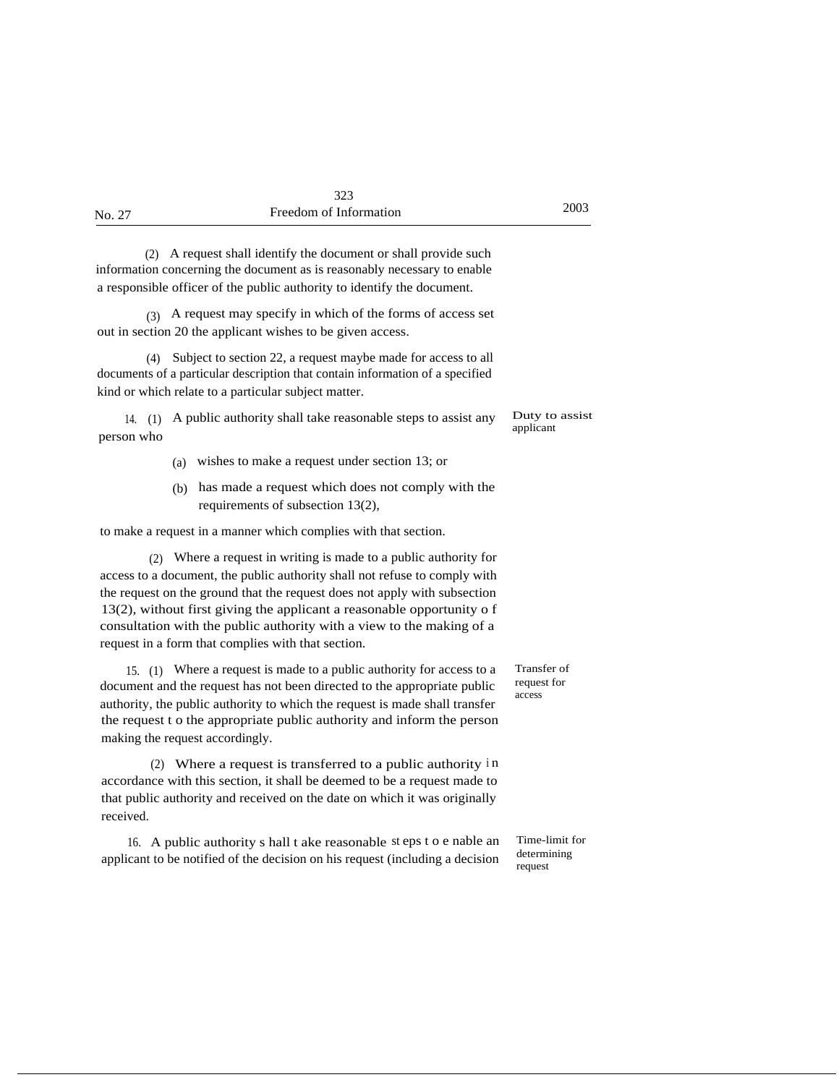| No. 27 | Freedom of Information | 2003 |
|--------|------------------------|------|
|        |                        |      |

(2) A request shall identify the document or shall provide such information concerning the document as is reasonably necessary to enable a responsible officer of the public authority to identify the document.

(3) A request may specify in which of the forms of access set out in section 20 the applicant wishes to be given access.

(4) Subject to section 22, a request maybe made for access to all documents of a particular description that contain information of a specified kind or which relate to a particular subject matter.

14. (1) A public authority shall take reasonable steps to assist any person who

- (a) wishes to make a request under section 13; or
- (b) has made a request which does not comply with the requirements of subsection 13(2),

to make a request in a manner which complies with that section.

(2) Where a request in writing is made to a public authority for access to a document, the public authority shall not refuse to comply with the request on the ground that the request does not apply with subsection 13(2), without first giving the applicant a reasonable opportunity o f consultation with the public authority with a view to the making of a request in a form that complies with that section.

15. (1) Where a request is made to a public authority for access to a document and the request has not been directed to the appropriate public authority, the public authority to which the request is made shall transfer the request t o the appropriate public authority and inform the person making the request accordingly.

(2) Where a request is transferred to a public authority <sup>i</sup> n accordance with this section, it shall be deemed to be a request made to that public authority and received on the date on which it was originally received.

16. A public authority s hall t ake reasonable st eps t o e nable an applicant to be notified of the decision on his request (including a decision

Transfer of request for access

Duty to assist applicant

Time-limit for determining request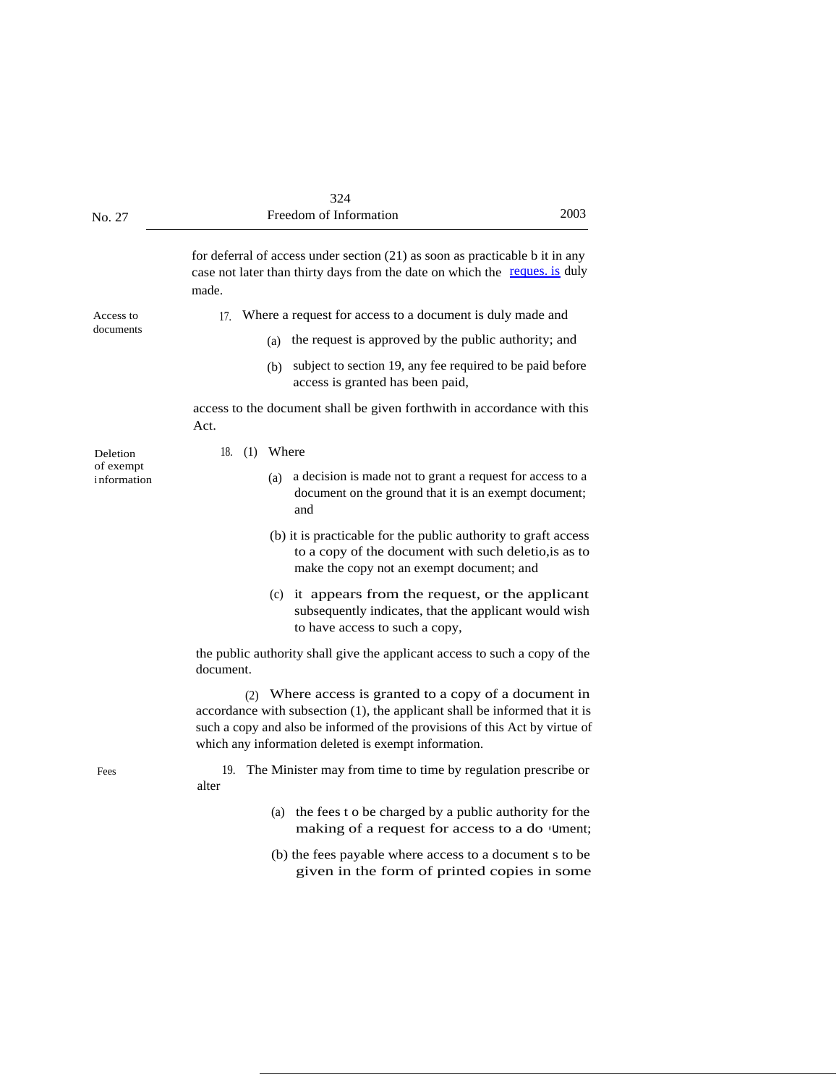| No. 27                   | 324<br>2003<br>Freedom of Information                                                                                                                                                                                                                                       |
|--------------------------|-----------------------------------------------------------------------------------------------------------------------------------------------------------------------------------------------------------------------------------------------------------------------------|
|                          | for deferral of access under section $(21)$ as soon as practicable b it in any<br>case not later than thirty days from the date on which the reques. is duly<br>made.                                                                                                       |
| Access to                | Where a request for access to a document is duly made and<br>$17_{\circ}$                                                                                                                                                                                                   |
| documents                | the request is approved by the public authority; and<br>(a)                                                                                                                                                                                                                 |
|                          | subject to section 19, any fee required to be paid before<br>(b)<br>access is granted has been paid,                                                                                                                                                                        |
|                          | access to the document shall be given forthwith in accordance with this<br>Act.                                                                                                                                                                                             |
| Deletion                 | 18.<br>(1)<br>Where                                                                                                                                                                                                                                                         |
| of exempt<br>information | a decision is made not to grant a request for access to a<br>(a)<br>document on the ground that it is an exempt document;<br>and                                                                                                                                            |
|                          | (b) it is practicable for the public authority to graft access<br>to a copy of the document with such deletio, is as to<br>make the copy not an exempt document; and                                                                                                        |
|                          | (c) it appears from the request, or the applicant<br>subsequently indicates, that the applicant would wish<br>to have access to such a copy,                                                                                                                                |
|                          | the public authority shall give the applicant access to such a copy of the<br>document.                                                                                                                                                                                     |
|                          | (2) Where access is granted to a copy of a document in<br>accordance with subsection (1), the applicant shall be informed that it is<br>such a copy and also be informed of the provisions of this Act by virtue of<br>which any information deleted is exempt information. |
| Fees                     | The Minister may from time to time by regulation prescribe or<br>19.<br>alter                                                                                                                                                                                               |
|                          | (a) the fees t o be charged by a public authority for the<br>making of a request for access to a do 'Ument;                                                                                                                                                                 |
|                          | (b) the fees payable where access to a document s to be<br>given in the form of printed copies in some                                                                                                                                                                      |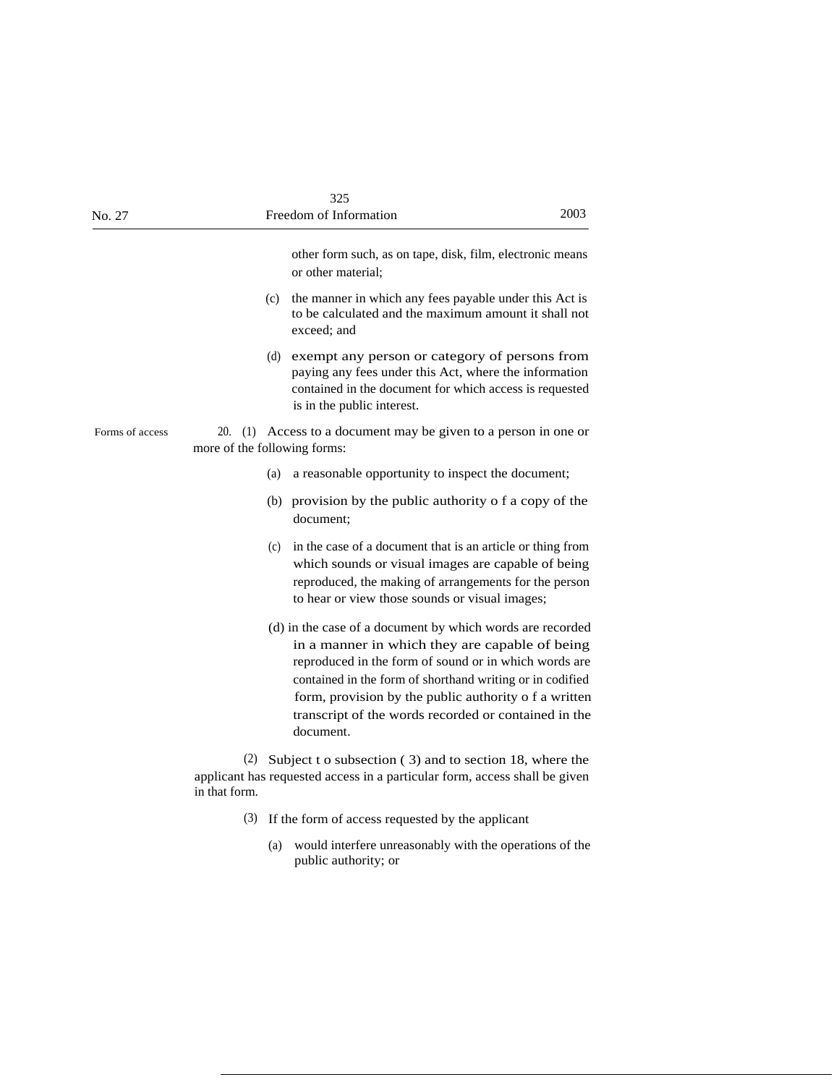| No. 27          |                              | 325<br>Freedom of Information                                                                                                                                                                                                                                                                                                                                   | 2003 |
|-----------------|------------------------------|-----------------------------------------------------------------------------------------------------------------------------------------------------------------------------------------------------------------------------------------------------------------------------------------------------------------------------------------------------------------|------|
|                 |                              | other form such, as on tape, disk, film, electronic means<br>or other material:                                                                                                                                                                                                                                                                                 |      |
|                 |                              | (c) the manner in which any fees payable under this Act is<br>to be calculated and the maximum amount it shall not<br>exceed; and                                                                                                                                                                                                                               |      |
|                 |                              | (d) exempt any person or category of persons from<br>paying any fees under this Act, where the information<br>contained in the document for which access is requested<br>is in the public interest.                                                                                                                                                             |      |
| Forms of access | more of the following forms: | 20. (1) Access to a document may be given to a person in one or                                                                                                                                                                                                                                                                                                 |      |
|                 | (a)                          | a reasonable opportunity to inspect the document;                                                                                                                                                                                                                                                                                                               |      |
|                 |                              | (b) provision by the public authority o f a copy of the<br>document:                                                                                                                                                                                                                                                                                            |      |
|                 | (c)                          | in the case of a document that is an article or thing from<br>which sounds or visual images are capable of being<br>reproduced, the making of arrangements for the person<br>to hear or view those sounds or visual images;                                                                                                                                     |      |
|                 |                              | (d) in the case of a document by which words are recorded<br>in a manner in which they are capable of being<br>reproduced in the form of sound or in which words are<br>contained in the form of shorthand writing or in codified<br>form, provision by the public authority o f a written<br>transcript of the words recorded or contained in the<br>document. |      |
|                 | in that form.                | (2) Subject t o subsection $(3)$ and to section 18, where the<br>applicant has requested access in a particular form, access shall be given                                                                                                                                                                                                                     |      |
|                 | (3)                          | If the form of access requested by the applicant                                                                                                                                                                                                                                                                                                                |      |
|                 | (a)                          | would interfere unreasonably with the operations of the<br>public authority; or                                                                                                                                                                                                                                                                                 |      |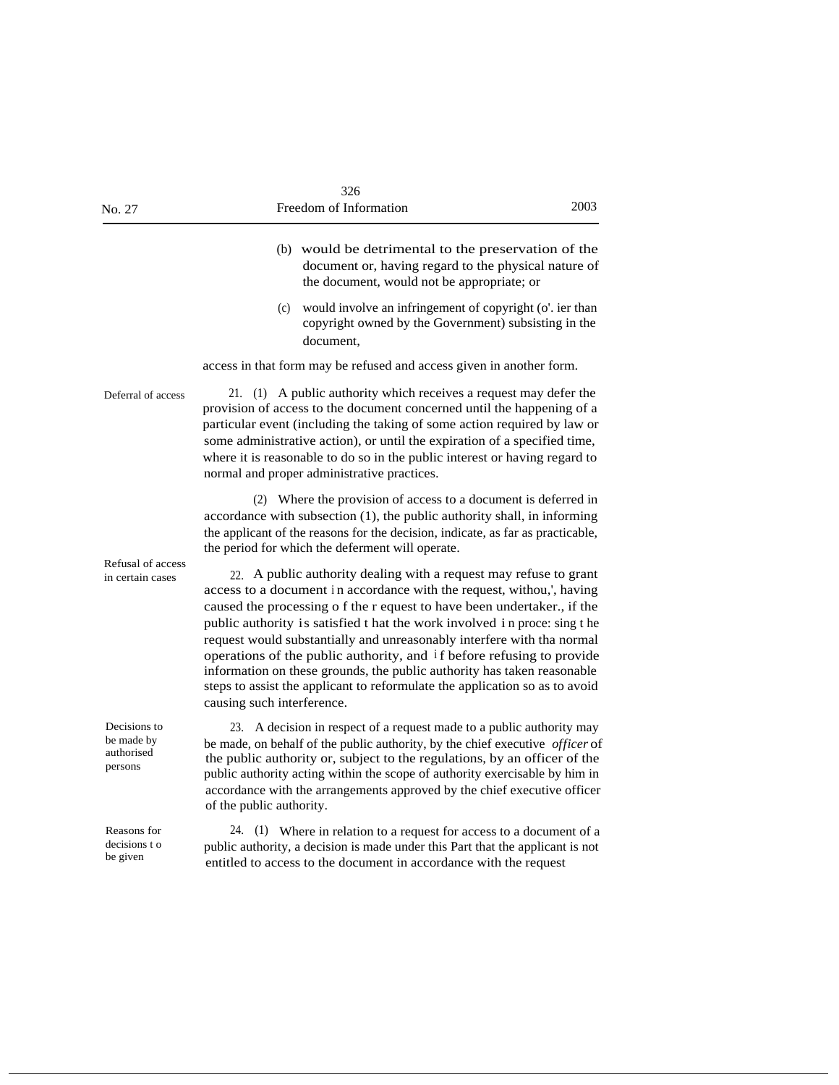| No. 27                                              | 326<br>Freedom of Information<br>2003                                                                                                                                                                                                                                                                                                                                                                                                                                                                                                                                                                                                         |  |
|-----------------------------------------------------|-----------------------------------------------------------------------------------------------------------------------------------------------------------------------------------------------------------------------------------------------------------------------------------------------------------------------------------------------------------------------------------------------------------------------------------------------------------------------------------------------------------------------------------------------------------------------------------------------------------------------------------------------|--|
|                                                     | (b) would be detrimental to the preservation of the<br>document or, having regard to the physical nature of<br>the document, would not be appropriate; or                                                                                                                                                                                                                                                                                                                                                                                                                                                                                     |  |
|                                                     | would involve an infringement of copyright (o'. ier than<br>(c)<br>copyright owned by the Government) subsisting in the<br>document.                                                                                                                                                                                                                                                                                                                                                                                                                                                                                                          |  |
|                                                     | access in that form may be refused and access given in another form.                                                                                                                                                                                                                                                                                                                                                                                                                                                                                                                                                                          |  |
| Deferral of access                                  | 21. (1) A public authority which receives a request may defer the<br>provision of access to the document concerned until the happening of a<br>particular event (including the taking of some action required by law or<br>some administrative action), or until the expiration of a specified time,<br>where it is reasonable to do so in the public interest or having regard to<br>normal and proper administrative practices.                                                                                                                                                                                                             |  |
|                                                     | (2) Where the provision of access to a document is deferred in<br>accordance with subsection (1), the public authority shall, in informing<br>the applicant of the reasons for the decision, indicate, as far as practicable,<br>the period for which the deferment will operate.                                                                                                                                                                                                                                                                                                                                                             |  |
| Refusal of access<br>in certain cases               | 22. A public authority dealing with a request may refuse to grant<br>access to a document in accordance with the request, withou,', having<br>caused the processing o f the r equest to have been undertaker., if the<br>public authority is satisfied t hat the work involved in proce: sing t he<br>request would substantially and unreasonably interfere with tha normal<br>operations of the public authority, and if before refusing to provide<br>information on these grounds, the public authority has taken reasonable<br>steps to assist the applicant to reformulate the application so as to avoid<br>causing such interference. |  |
| Decisions to<br>be made by<br>authorised<br>persons | A decision in respect of a request made to a public authority may<br>23.<br>be made, on behalf of the public authority, by the chief executive <i>officer</i> of<br>the public authority or, subject to the regulations, by an officer of the<br>public authority acting within the scope of authority exercisable by him in<br>accordance with the arrangements approved by the chief executive officer<br>of the public authority.                                                                                                                                                                                                          |  |
| Reasons for<br>decisions t o<br>be given            | 24.<br>(1) Where in relation to a request for access to a document of a<br>public authority, a decision is made under this Part that the applicant is not<br>entitled to access to the document in accordance with the request                                                                                                                                                                                                                                                                                                                                                                                                                |  |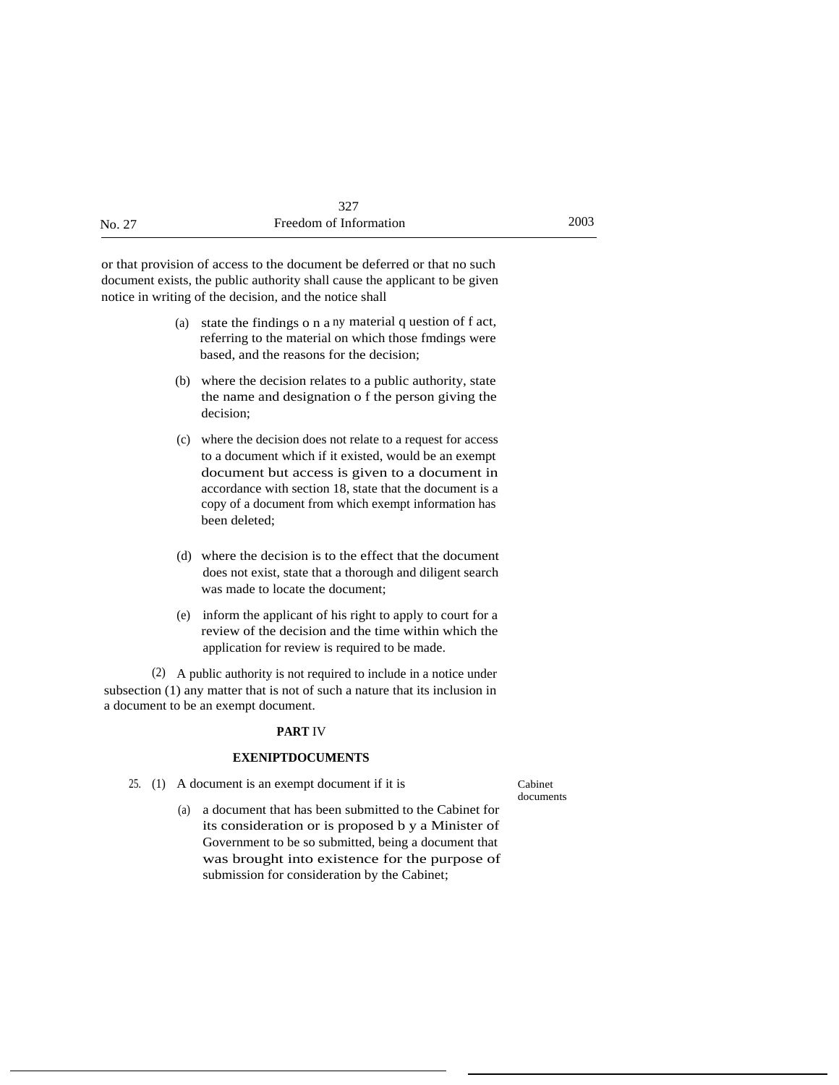|        | 327                    |      |
|--------|------------------------|------|
| No. 27 | Freedom of Information | 2003 |

or that provision of access to the document be deferred or that no such document exists, the public authority shall cause the applicant to be given notice in writing of the decision, and the notice shall

- (a) state the findings o n a ny material q uestion of f act, referring to the material on which those fmdings were based, and the reasons for the decision;
- (b) where the decision relates to a public authority, state the name and designation o f the person giving the decision;
- (c) where the decision does not relate to a request for access to a document which if it existed, would be an exempt document but access is given to a document in accordance with section 18, state that the document is a copy of a document from which exempt information has been deleted;
- (d) where the decision is to the effect that the document does not exist, state that a thorough and diligent search was made to locate the document;
- (e) inform the applicant of his right to apply to court for a review of the decision and the time within which the application for review is required to be made.

(2) A public authority is not required to include in a notice under subsection (1) any matter that is not of such a nature that its inclusion in a document to be an exempt document.

#### **PART** IV

#### **EXENIPTDOCUMENTS**

25. (1) A document is an exempt document if it is Cabinet

documents

(a) a document that has been submitted to the Cabinet for its consideration or is proposed b y a Minister of Government to be so submitted, being a document that was brought into existence for the purpose of submission for consideration by the Cabinet;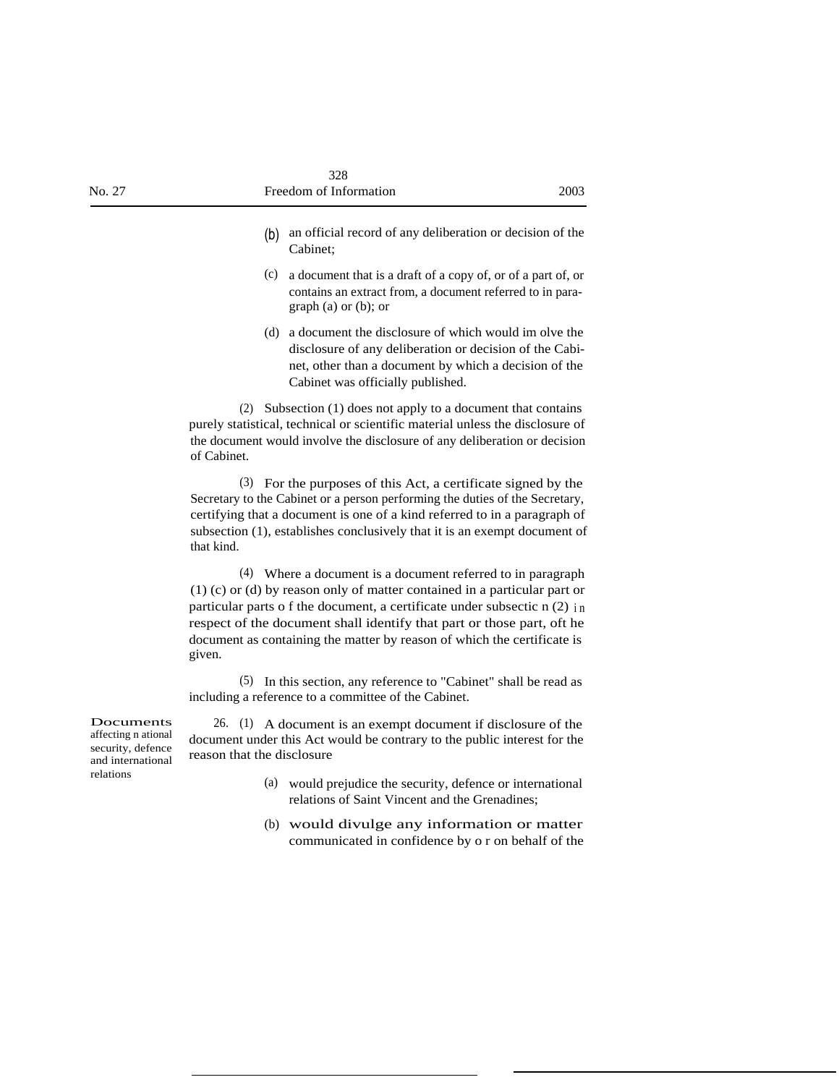- (b) an official record of any deliberation or decision of the Cabinet;
- (c) a document that is a draft of a copy of, or of a part of, or contains an extract from, a document referred to in paragraph (a) or (b); or
- (d) a document the disclosure of which would im olve the disclosure of any deliberation or decision of the Cabinet, other than a document by which a decision of the Cabinet was officially published.

(2) Subsection (1) does not apply to a document that contains purely statistical, technical or scientific material unless the disclosure of the document would involve the disclosure of any deliberation or decision of Cabinet.

(3) For the purposes of this Act, a certificate signed by the Secretary to the Cabinet or a person performing the duties of the Secretary, certifying that a document is one of a kind referred to in a paragraph of subsection (1), establishes conclusively that it is an exempt document of that kind.

(4) Where a document is a document referred to in paragraph (1) (c) or (d) by reason only of matter contained in a particular part or particular parts o f the document, a certificate under subsectic  $n(2)$  in respect of the document shall identify that part or those part, oft he document as containing the matter by reason of which the certificate is given.

(5) In this section, any reference to "Cabinet" shall be read as including a reference to a committee of the Cabinet.

Documents affecting n ational security, defence and international relations

26. (1) A document is an exempt document if disclosure of the document under this Act would be contrary to the public interest for the reason that the disclosure

- (a) would prejudice the security, defence or international relations of Saint Vincent and the Grenadines;
- (b) would divulge any information or matter communicated in confidence by o r on behalf of the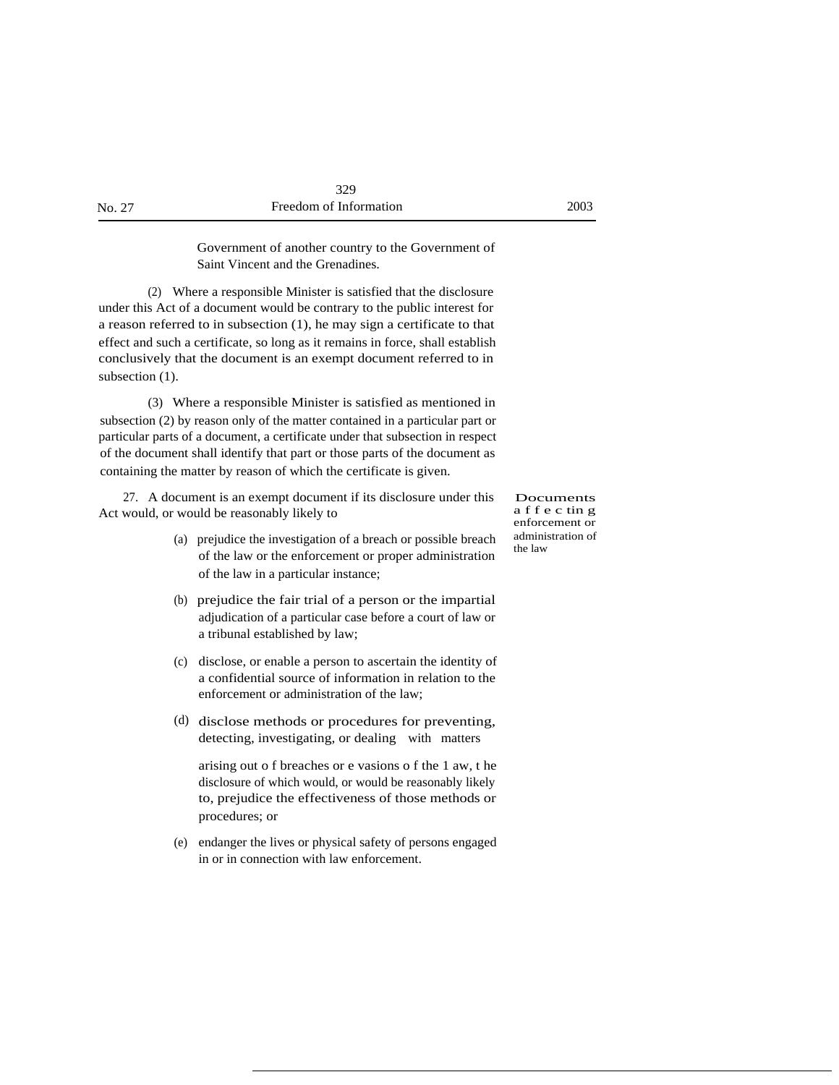Government of another country to the Government of Saint Vincent and the Grenadines.

(2) Where a responsible Minister is satisfied that the disclosure under this Act of a document would be contrary to the public interest for a reason referred to in subsection (1), he may sign a certificate to that effect and such a certificate, so long as it remains in force, shall establish conclusively that the document is an exempt document referred to in subsection  $(1)$ .

(3) Where a responsible Minister is satisfied as mentioned in subsection (2) by reason only of the matter contained in a particular part or particular parts of a document, a certificate under that subsection in respect of the document shall identify that part or those parts of the document as containing the matter by reason of which the certificate is given.

27. A document is an exempt document if its disclosure under this Act would, or would be reasonably likely to

- (a) prejudice the investigation of a breach or possible breach of the law or the enforcement or proper administration of the law in a particular instance;
- (b) prejudice the fair trial of a person or the impartial adjudication of a particular case before a court of law or a tribunal established by law;
- (c) disclose, or enable a person to ascertain the identity of a confidential source of information in relation to the enforcement or administration of the law;
- (d) disclose methods or procedures for preventing, detecting, investigating, or dealing with matters

arising out o f breaches or e vasions o f the 1 aw, t he disclosure of which would, or would be reasonably likely to, prejudice the effectiveness of those methods or procedures; or

(e) endanger the lives or physical safety of persons engaged in or in connection with law enforcement.

Documents a f f e c tin g enforcement or administration of the law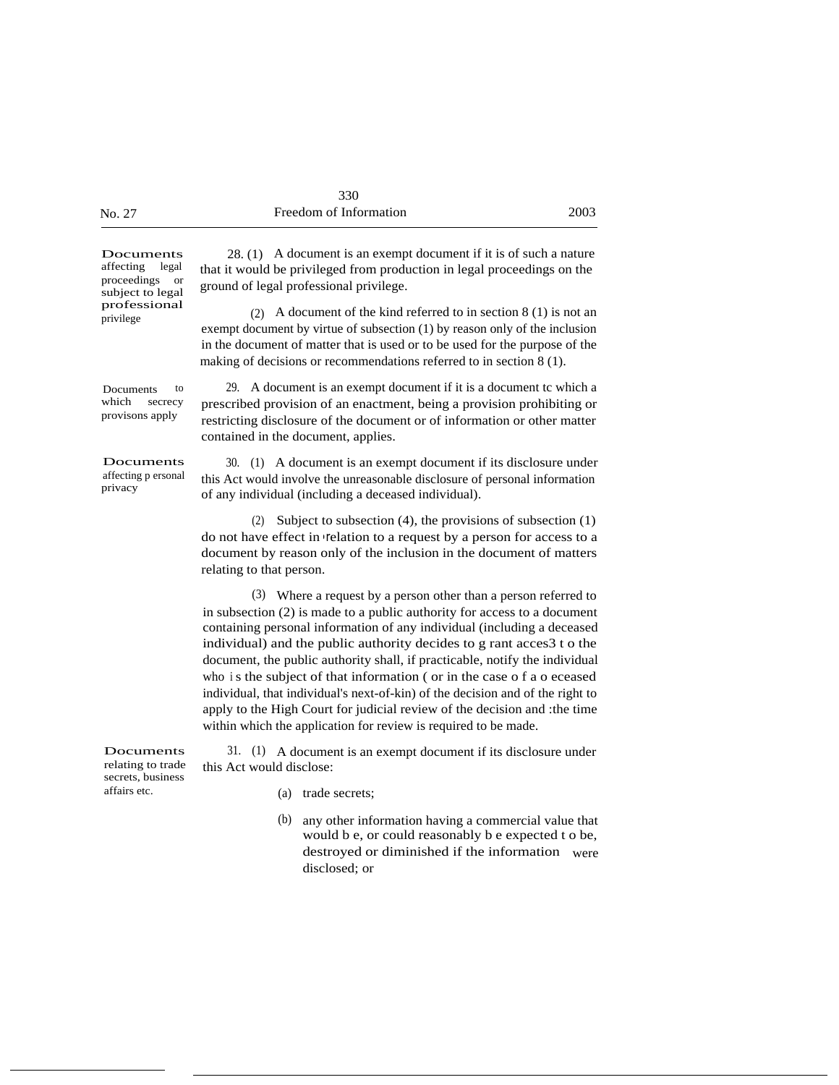|        | 330                    |      |
|--------|------------------------|------|
| No. 27 | Freedom of Information | 2003 |

ground of legal professional privilege.

Documents affecting legal proceedings or subject to legal professional privilege

Documents to which secrecy provisons apply

prescribed provision of an enactment, being a provision prohibiting or restricting disclosure of the document or of information or other matter contained in the document, applies.

28. (1) A document is an exempt document if it is of such a nature that it would be privileged from production in legal proceedings on the

exempt document by virtue of subsection (1) by reason only of the inclusion in the document of matter that is used or to be used for the purpose of the making of decisions or recommendations referred to in section 8 (1).

29. A document is an exempt document if it is a document tc which a

(2) A document of the kind referred to in section 8 (1) is not an

30. (1) A document is an exempt document if its disclosure under this Act would involve the unreasonable disclosure of personal information of any individual (including a deceased individual).

(2) Subject to subsection (4), the provisions of subsection (1) do not have effect in • relation to a request by a person for access to a document by reason only of the inclusion in the document of matters relating to that person.

(3) Where a request by a person other than a person referred to in subsection (2) is made to a public authority for access to a document containing personal information of any individual (including a deceased individual) and the public authority decides to g rant acces3 t o the document, the public authority shall, if practicable, notify the individual who is the subject of that information ( or in the case of a o eceased individual, that individual's next-of-kin) of the decision and of the right to apply to the High Court for judicial review of the decision and :the time within which the application for review is required to be made.

Documents relating to trade secrets, business affairs etc. 31. (1) A document is an exempt document if its disclosure under this Act would disclose:

- (a) trade secrets;
- (b) any other information having a commercial value that would b e, or could reasonably b e expected t o be, destroyed or diminished if the information were disclosed; or

affecting p ersonal privacy

Documents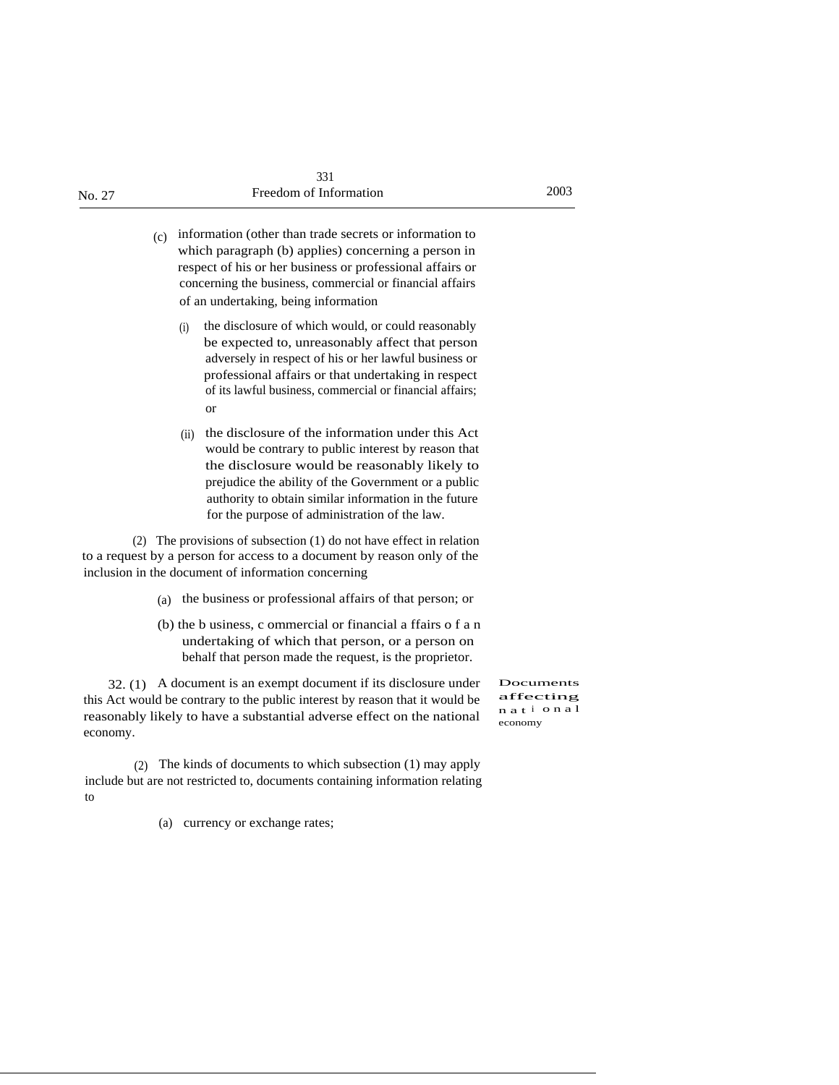(c) information (other than trade secrets or information to which paragraph (b) applies) concerning a person in respect of his or her business or professional affairs or concerning the business, commercial or financial affairs of an undertaking, being information

- (i) the disclosure of which would, or could reasonably be expected to, unreasonably affect that person adversely in respect of his or her lawful business or professional affairs or that undertaking in respect of its lawful business, commercial or financial affairs; or
- (ii) the disclosure of the information under this Act would be contrary to public interest by reason that the disclosure would be reasonably likely to prejudice the ability of the Government or a public authority to obtain similar information in the future for the purpose of administration of the law.

(2) The provisions of subsection (1) do not have effect in relation to a request by a person for access to a document by reason only of the inclusion in the document of information concerning

- (a) the business or professional affairs of that person; or
- (b) the b usiness, c ommercial or financial a ffairs o f a n undertaking of which that person, or a person on behalf that person made the request, is the proprietor.

32. (1) A document is an exempt document if its disclosure under this Act would be contrary to the public interest by reason that it would be reasonably likely to have a substantial adverse effect on the national economy.

Documents affecting n a t <sup>i</sup> o n a l economy

(2) The kinds of documents to which subsection (1) may apply include but are not restricted to, documents containing information relating to

(a) currency or exchange rates;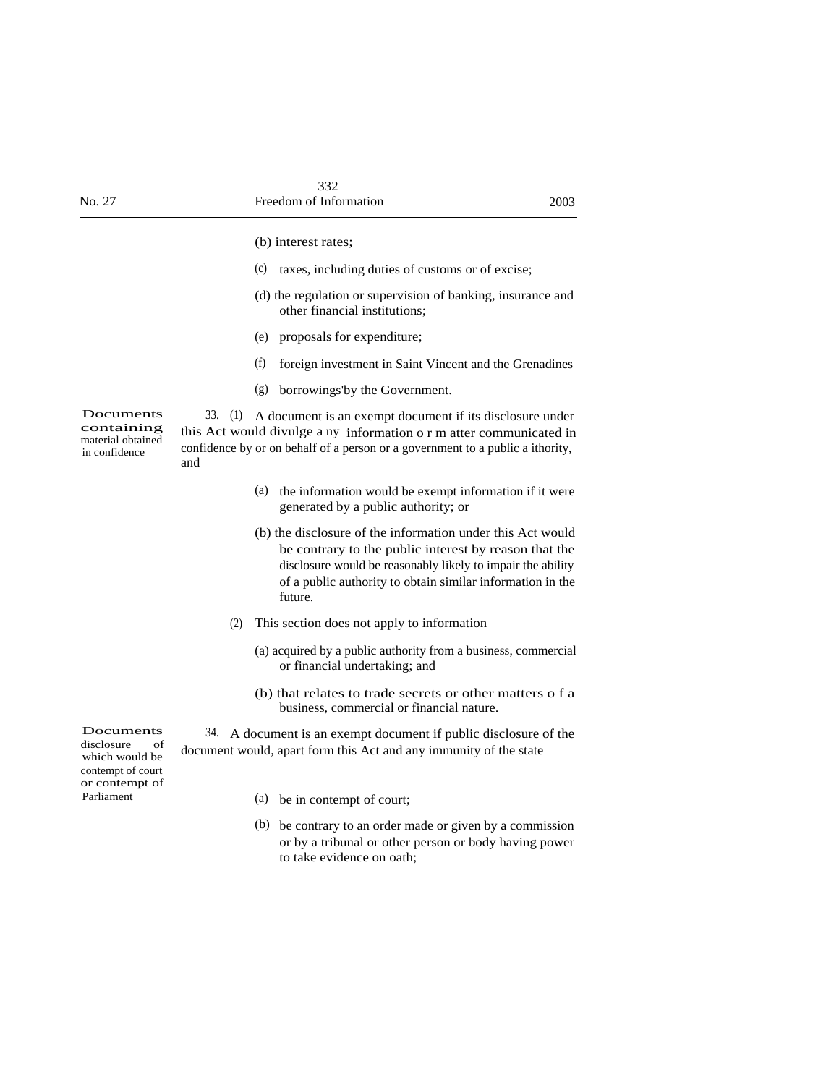|                                                                                                      |                        | (b) interest rates;                                                                                                                                                                                                                                         |
|------------------------------------------------------------------------------------------------------|------------------------|-------------------------------------------------------------------------------------------------------------------------------------------------------------------------------------------------------------------------------------------------------------|
|                                                                                                      |                        | (c)<br>taxes, including duties of customs or of excise;                                                                                                                                                                                                     |
|                                                                                                      |                        | (d) the regulation or supervision of banking, insurance and<br>other financial institutions;                                                                                                                                                                |
|                                                                                                      |                        | (e)<br>proposals for expenditure;                                                                                                                                                                                                                           |
|                                                                                                      |                        | (f)<br>foreign investment in Saint Vincent and the Grenadines                                                                                                                                                                                               |
|                                                                                                      |                        | (g)<br>borrowings'by the Government.                                                                                                                                                                                                                        |
| Documents<br>containing<br>material obtained<br>in confidence                                        | $33. \quad (1)$<br>and | A document is an exempt document if its disclosure under<br>this Act would divulge a ny information o r m atter communicated in<br>confidence by or on behalf of a person or a government to a public a ithority,                                           |
|                                                                                                      |                        | the information would be exempt information if it were<br>(a)<br>generated by a public authority; or                                                                                                                                                        |
|                                                                                                      |                        | (b) the disclosure of the information under this Act would<br>be contrary to the public interest by reason that the<br>disclosure would be reasonably likely to impair the ability<br>of a public authority to obtain similar information in the<br>future. |
|                                                                                                      | (2)                    | This section does not apply to information                                                                                                                                                                                                                  |
|                                                                                                      |                        | (a) acquired by a public authority from a business, commercial<br>or financial undertaking; and                                                                                                                                                             |
|                                                                                                      |                        | (b) that relates to trade secrets or other matters o f a<br>business, commercial or financial nature.                                                                                                                                                       |
| Documents<br>disclosure<br>of<br>which would be<br>contempt of court<br>or contempt of<br>Parliament |                        | 34. A document is an exempt document if public disclosure of the<br>document would, apart form this Act and any immunity of the state                                                                                                                       |
|                                                                                                      |                        | (a) be in contempt of court;                                                                                                                                                                                                                                |
|                                                                                                      |                        | (b) be contrary to an order made or given by a commission<br>or by a tribunal or other person or body having power<br>to take evidence on oath;                                                                                                             |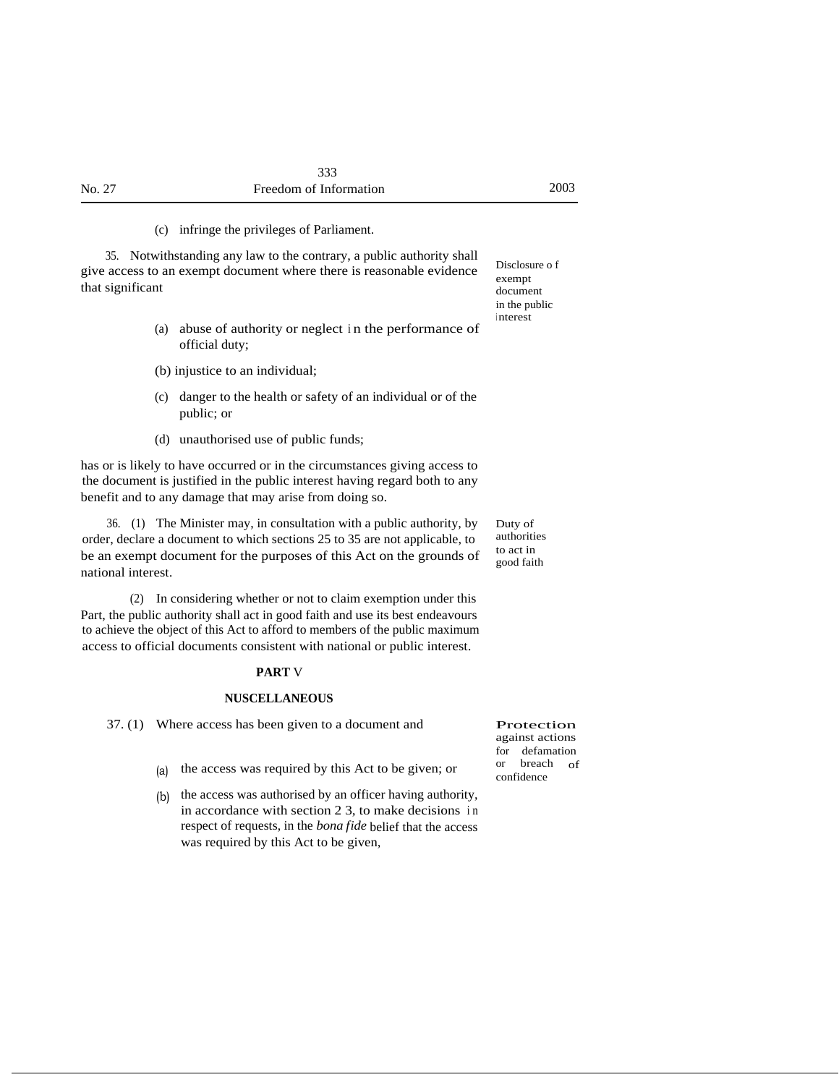(c) infringe the privileges of Parliament.

35. Notwithstanding any law to the contrary, a public authority shall give access to an exempt document where there is reasonable evidence that significant

- (a) abuse of authority or neglect <sup>i</sup> n the performance of official duty;
- (b) injustice to an individual;
- (c) danger to the health or safety of an individual or of the public; or
- (d) unauthorised use of public funds;

has or is likely to have occurred or in the circumstances giving access to the document is justified in the public interest having regard both to any benefit and to any damage that may arise from doing so.

36. (1) The Minister may, in consultation with a public authority, by order, declare a document to which sections 25 to 35 are not applicable, to be an exempt document for the purposes of this Act on the grounds of national interest.

(2) In considering whether or not to claim exemption under this Part, the public authority shall act in good faith and use its best endeavours to achieve the object of this Act to afford to members of the public maximum access to official documents consistent with national or public interest.

#### **PART** V

#### **NUSCELLANEOUS**

37. (1) Where access has been given to a document and

- (a) the access was required by this Act to be given; or
- (b) the access was authorised by an officer having authority, in accordance with section 2 3, to make decisions i n respect of requests, in the *bona fide* belief that the access was required by this Act to be given,

Disclosure o f exempt document in the public <sup>i</sup> nterest

Duty of authorities to act in good faith

Protection against actions for defamation or breach of confidence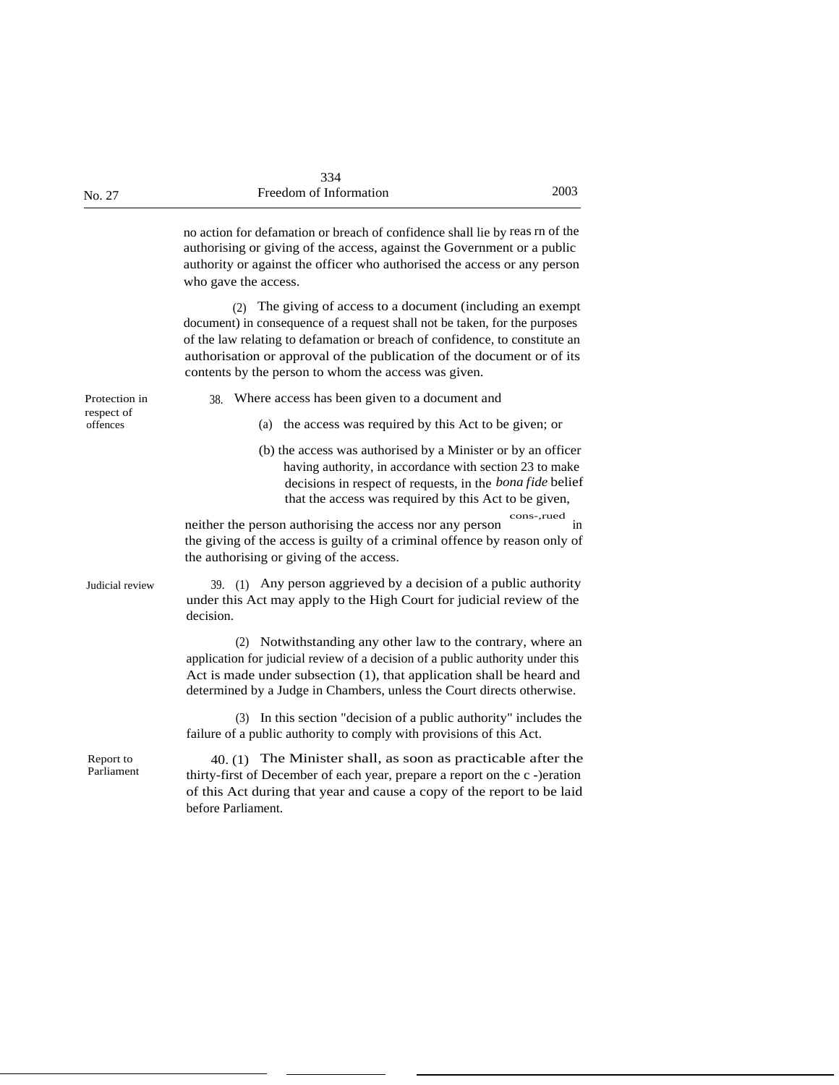no action for defamation or breach of confidence shall lie by reas rn of the authorising or giving of the access, against the Government or a public authority or against the officer who authorised the access or any person who gave the access.

(2) The giving of access to a document (including an exempt document) in consequence of a request shall not be taken, for the purposes of the law relating to defamation or breach of confidence, to constitute an authorisation or approval of the publication of the document or of its contents by the person to whom the access was given.

Protection in 38. Where access has been given to a document and respect of offences (a) the access was required by this Act to be given; or (b) the access was authorised by a Minister or by an officer having authority, in accordance with section 23 to make decisions in respect of requests, in the *bona fide* belief that the access was required by this Act to be given, neither the person authorising the access nor any person cons-,rued the giving of the access is guilty of a criminal offence by reason only of the authorising or giving of the access. Judicial review 39. (1) Any person aggrieved by a decision of a public authority under this Act may apply to the High Court for judicial review of the decision. (2) Notwithstanding any other law to the contrary, where an application for judicial review of a decision of a public authority under this Act is made under subsection (1), that application shall be heard and determined by a Judge in Chambers, unless the Court directs otherwise. (3) In this section "decision of a public authority" includes the failure of a public authority to comply with provisions of this Act. 40. (1) The Minister shall, as soon as practicable after the thirty-first of December of each year, prepare a report on the c -)eration of this Act during that year and cause a copy of the report to be laid before Parliament. Report to Parliament

in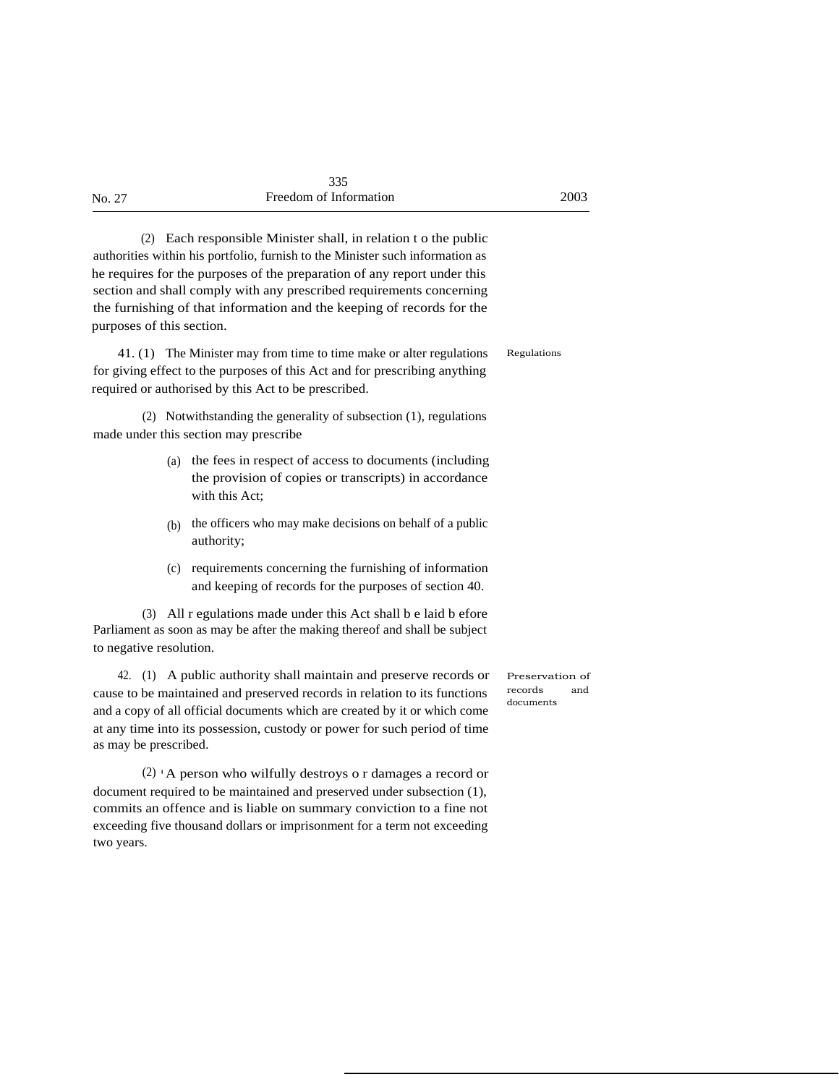|        | 335                    |      |
|--------|------------------------|------|
| No. 27 | Freedom of Information | 2003 |

(2) Each responsible Minister shall, in relation t o the public authorities within his portfolio, furnish to the Minister such information as he requires for the purposes of the preparation of any report under this section and shall comply with any prescribed requirements concerning the furnishing of that information and the keeping of records for the purposes of this section.

41. (1) The Minister may from time to time make or alter regulations Regulations for giving effect to the purposes of this Act and for prescribing anything required or authorised by this Act to be prescribed.

(2) Notwithstanding the generality of subsection (1), regulations made under this section may prescribe

- (a) the fees in respect of access to documents (including the provision of copies or transcripts) in accordance with this Act;
- $(b)$  the officers who may make decisions on behalf of a public authority;
- (c) requirements concerning the furnishing of information and keeping of records for the purposes of section 40.

(3) All r egulations made under this Act shall b e laid b efore Parliament as soon as may be after the making thereof and shall be subject to negative resolution.

42. (1) A public authority shall maintain and preserve records or cause to be maintained and preserved records in relation to its functions and a copy of all official documents which are created by it or which come at any time into its possession, custody or power for such period of time as may be prescribed.

(2) • A person who wilfully destroys o r damages a record or document required to be maintained and preserved under subsection (1), commits an offence and is liable on summary conviction to a fine not exceeding five thousand dollars or imprisonment for a term not exceeding two years.

Preservation of records and documents